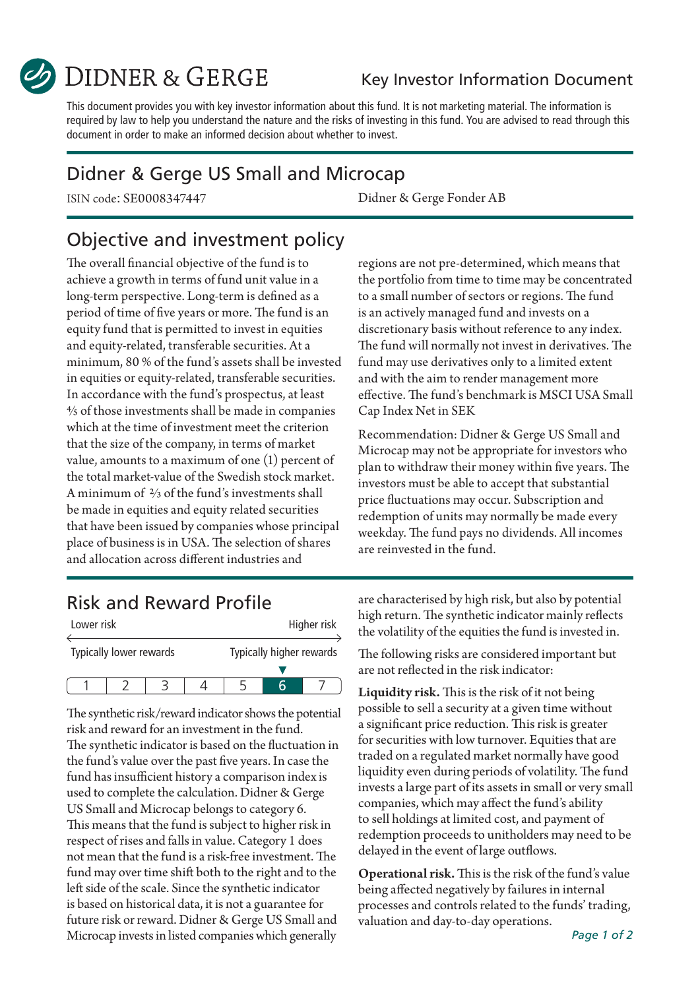

DIDNER & GERGE

#### Key Investor Information Document

This document provides you with key investor information about this fund. It is not marketing material. The information is required by law to help you understand the nature and the risks of investing in this fund. You are advised to read through this document in order to make an informed decision about whether to invest.

#### Didner & Gerge US Small and Microcap

ISIN code: SE0008347447 Didner & Gerge Fonder AB

## Objective and investment policy

The overall financial objective of the fund is to achieve a growth in terms of fund unit value in a long-term perspective. Long-term is defined as a period of time of five years or more. The fund is an equity fund that is permitted to invest in equities and equity-related, transferable securities. At a minimum, 80 % of the fund's assets shall be invested in equities or equity-related, transferable securities. In accordance with the fund's prospectus, at least 4/5 of those investments shall be made in companies which at the time of investment meet the criterion that the size of the company, in terms of market value, amounts to a maximum of one (1) percent of the total market-value of the Swedish stock market. A minimum of 2/3 of the fund's investments shall be made in equities and equity related securities that have been issued by companies whose principal place of business is in USA. The selection of shares and allocation across different industries and

regions are not pre-determined, which means that the portfolio from time to time may be concentrated to a small number of sectors or regions. The fund is an actively managed fund and invests on a discretionary basis without reference to any index. The fund will normally not invest in derivatives. The fund may use derivatives only to a limited extent and with the aim to render management more effective. The fund's benchmark is MSCI USA Small Cap Index Net in SEK

Recommendation: Didner & Gerge US Small and Microcap may not be appropriate for investors who plan to withdraw their money within five years. The investors must be able to accept that substantial price fluctuations may occur. Subscription and redemption of units may normally be made every weekday. The fund pays no dividends. All incomes are reinvested in the fund.

## Risk and Reward Profile

| Lower risk |                         |  |                          |  | Higher risk |
|------------|-------------------------|--|--------------------------|--|-------------|
|            | Typically lower rewards |  | Typically higher rewards |  |             |
|            |                         |  |                          |  |             |
|            |                         |  |                          |  |             |

The synthetic risk/reward indicator shows the potential risk and reward for an investment in the fund. The synthetic indicator is based on the fluctuation in the fund's value over the past five years. In case the fund has insufficient history a comparison index is used to complete the calculation. Didner & Gerge US Small and Microcap belongs to category 6. This means that the fund is subject to higher risk in respect of rises and falls in value. Category 1 does not mean that the fund is a risk-free investment. The fund may over time shift both to the right and to the left side of the scale. Since the synthetic indicator is based on historical data, it is not a guarantee for future risk or reward. Didner & Gerge US Small and Microcap invests in listed companies which generally

are characterised by high risk, but also by potential high return. The synthetic indicator mainly reflects the volatility of the equities the fund is invested in.

The following risks are considered important but are not reflected in the risk indicator:

Liquidity risk. This is the risk of it not being possible to sell a security at a given time without a significant price reduction. This risk is greater for securities with low turnover. Equities that are traded on a regulated market normally have good liquidity even during periods of volatility. The fund invests a large part of its assets in small or very small companies, which may affect the fund's ability to sell holdings at limited cost, and payment of redemption proceeds to unitholders may need to be delayed in the event of large outflows.

Operational risk. This is the risk of the fund's value being affected negatively by failures in internal processes and controls related to the funds' trading, valuation and day-to-day operations.